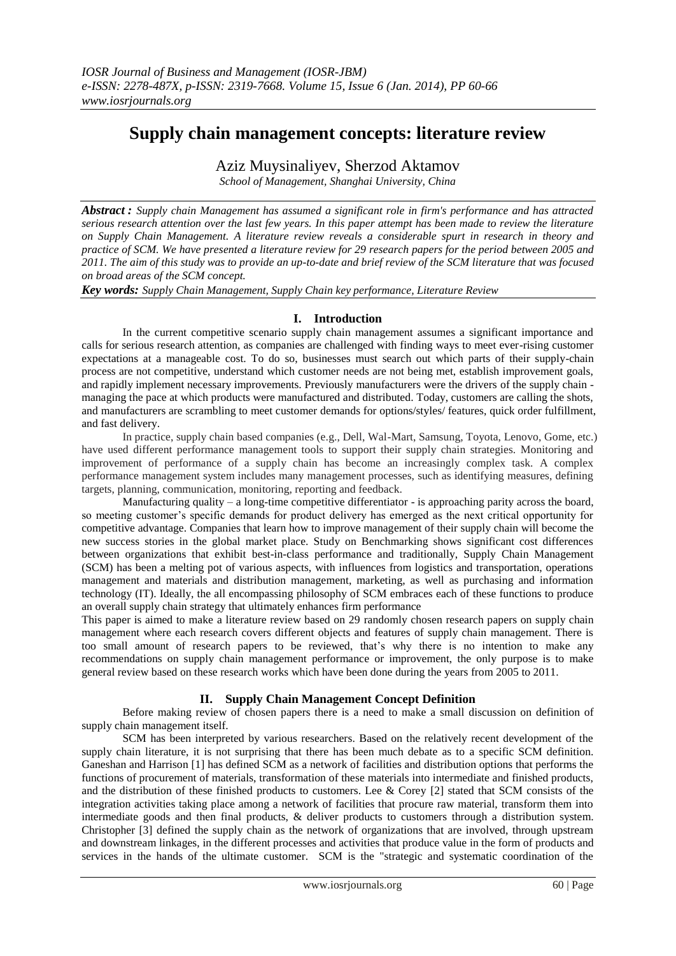# **Supply chain management concepts: literature review**

## Aziz Muysinaliyev, Sherzod Aktamov

*School of Management, Shanghai University, China*

*Abstract : Supply chain Management has assumed a significant role in firm's performance and has attracted serious research attention over the last few years. In this paper attempt has been made to review the literature on Supply Chain Management. A literature review reveals a considerable spurt in research in theory and practice of SCM. We have presented a literature review for 29 research papers for the period between 2005 and 2011. The aim of this study was to provide an up-to-date and brief review of the SCM literature that was focused on broad areas of the SCM concept.* 

*Key words: Supply Chain Management, Supply Chain key performance, Literature Review*

#### **I. Introduction**

In the current competitive scenario supply chain management assumes a significant importance and calls for serious research attention, as companies are challenged with finding ways to meet ever-rising customer expectations at a manageable cost. To do so, businesses must search out which parts of their supply-chain process are not competitive, understand which customer needs are not being met, establish improvement goals, and rapidly implement necessary improvements. Previously manufacturers were the drivers of the supply chain managing the pace at which products were manufactured and distributed. Today, customers are calling the shots, and manufacturers are scrambling to meet customer demands for options/styles/ features, quick order fulfillment, and fast delivery.

In practice, supply chain based companies (e.g., Dell, Wal-Mart, Samsung, Toyota, Lenovo, Gome, etc.) have used different performance management tools to support their supply chain strategies. Monitoring and improvement of performance of a supply chain has become an increasingly complex task. A complex performance management system includes many management processes, such as identifying measures, defining targets, planning, communication, monitoring, reporting and feedback.

Manufacturing quality – a long-time competitive differentiator - is approaching parity across the board, so meeting customer's specific demands for product delivery has emerged as the next critical opportunity for competitive advantage. Companies that learn how to improve management of their supply chain will become the new success stories in the global market place. Study on Benchmarking shows significant cost differences between organizations that exhibit best-in-class performance and traditionally, Supply Chain Management (SCM) has been a melting pot of various aspects, with influences from logistics and transportation, operations management and materials and distribution management, marketing, as well as purchasing and information technology (IT). Ideally, the all encompassing philosophy of SCM embraces each of these functions to produce an overall supply chain strategy that ultimately enhances firm performance

This paper is aimed to make a literature review based on 29 randomly chosen research papers on supply chain management where each research covers different objects and features of supply chain management. There is too small amount of research papers to be reviewed, that's why there is no intention to make any recommendations on supply chain management performance or improvement, the only purpose is to make general review based on these research works which have been done during the years from 2005 to 2011.

#### **II. Supply Chain Management Concept Definition**

Before making review of chosen papers there is a need to make a small discussion on definition of supply chain management itself.

SCM has been interpreted by various researchers. Based on the relatively recent development of the supply chain literature, it is not surprising that there has been much debate as to a specific SCM definition. Ganeshan and Harrison [1] has defined SCM as a network of facilities and distribution options that performs the functions of procurement of materials, transformation of these materials into intermediate and finished products, and the distribution of these finished products to customers. Lee & Corey [2] stated that SCM consists of the integration activities taking place among a network of facilities that procure raw material, transform them into intermediate goods and then final products, & deliver products to customers through a distribution system. Christopher [3] defined the supply chain as the network of organizations that are involved, through upstream and downstream linkages, in the different processes and activities that produce value in the form of products and services in the hands of the ultimate customer. SCM is the "strategic and systematic coordination of the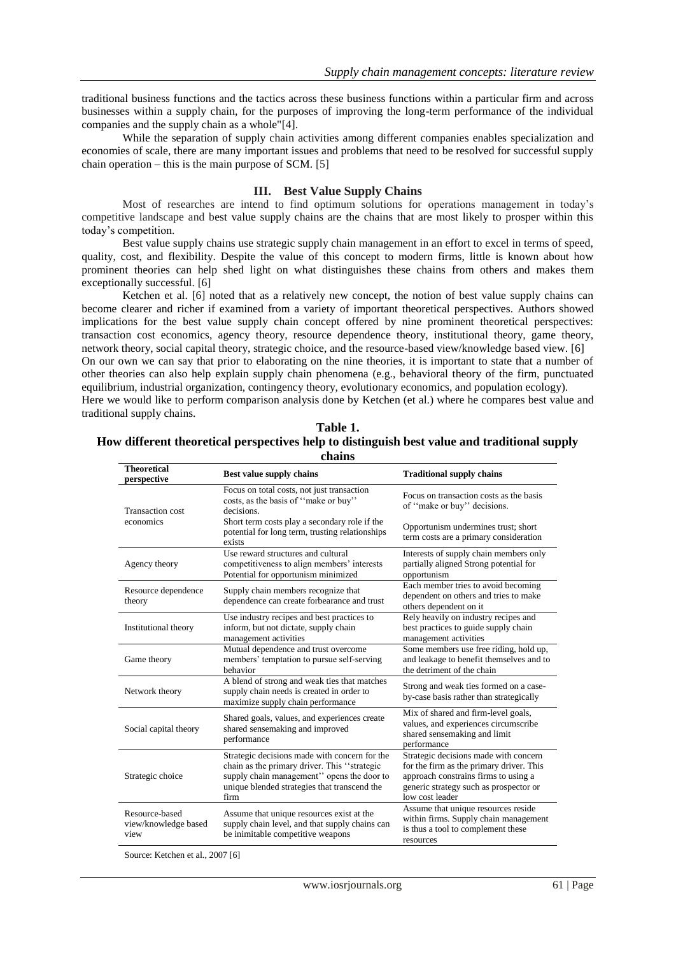traditional business functions and the tactics across these business functions within a particular firm and across businesses within a supply chain, for the purposes of improving the long-term performance of the individual companies and the supply chain as a whole"[4].

While the separation of supply chain activities among different companies enables specialization and economies of scale, there are many important issues and problems that need to be resolved for successful supply chain operation – this is the main purpose of SCM. [5]

#### **III. Best Value Supply Chains**

Most of researches are intend to find optimum solutions for operations management in today's competitive landscape and best value supply chains are the chains that are most likely to prosper within this today"s competition.

Best value supply chains use strategic supply chain management in an effort to excel in terms of speed, quality, cost, and flexibility. Despite the value of this concept to modern firms, little is known about how prominent theories can help shed light on what distinguishes these chains from others and makes them exceptionally successful. [6]

Ketchen et al. [6] noted that as a relatively new concept, the notion of best value supply chains can become clearer and richer if examined from a variety of important theoretical perspectives. Authors showed implications for the best value supply chain concept offered by nine prominent theoretical perspectives: transaction cost economics, agency theory, resource dependence theory, institutional theory, game theory, network theory, social capital theory, strategic choice, and the resource-based view/knowledge based view. [6] On our own we can say that prior to elaborating on the nine theories, it is important to state that a number of other theories can also help explain supply chain phenomena (e.g., behavioral theory of the firm, punctuated equilibrium, industrial organization, contingency theory, evolutionary economics, and population ecology). Here we would like to perform comparison analysis done by Ketchen (et al.) where he compares best value and traditional supply chains.

| Table 1.                                                                                     |
|----------------------------------------------------------------------------------------------|
| How different theoretical perspectives help to distinguish best value and traditional supply |
| chains                                                                                       |

| <b>Theoretical</b><br>perspective              | Best value supply chains                                                                                                                                                                            | <b>Traditional supply chains</b>                                                                                                                                                       |
|------------------------------------------------|-----------------------------------------------------------------------------------------------------------------------------------------------------------------------------------------------------|----------------------------------------------------------------------------------------------------------------------------------------------------------------------------------------|
| <b>Transaction cost</b><br>economics           | Focus on total costs, not just transaction<br>costs, as the basis of "make or buy"<br>decisions.                                                                                                    | Focus on transaction costs as the basis<br>of "make or buy" decisions.                                                                                                                 |
|                                                | Short term costs play a secondary role if the<br>potential for long term, trusting relationships<br>exists                                                                                          | Opportunism undermines trust; short<br>term costs are a primary consideration                                                                                                          |
| Agency theory                                  | Use reward structures and cultural<br>competitiveness to align members' interests<br>Potential for opportunism minimized                                                                            | Interests of supply chain members only<br>partially aligned Strong potential for<br>opportunism                                                                                        |
| Resource dependence<br>theory                  | Supply chain members recognize that<br>dependence can create forbearance and trust                                                                                                                  | Each member tries to avoid becoming<br>dependent on others and tries to make<br>others dependent on it                                                                                 |
| Institutional theory                           | Use industry recipes and best practices to<br>inform, but not dictate, supply chain<br>management activities                                                                                        | Rely heavily on industry recipes and<br>best practices to guide supply chain<br>management activities                                                                                  |
| Game theory                                    | Mutual dependence and trust overcome<br>members' temptation to pursue self-serving<br>behavior                                                                                                      | Some members use free riding, hold up,<br>and leakage to benefit themselves and to<br>the detriment of the chain                                                                       |
| Network theory                                 | A blend of strong and weak ties that matches<br>supply chain needs is created in order to<br>maximize supply chain performance                                                                      | Strong and weak ties formed on a case-<br>by-case basis rather than strategically                                                                                                      |
| Social capital theory                          | Shared goals, values, and experiences create<br>shared sensemaking and improved<br>performance                                                                                                      | Mix of shared and firm-level goals,<br>values, and experiences circumscribe<br>shared sensemaking and limit<br>performance                                                             |
| Strategic choice                               | Strategic decisions made with concern for the<br>chain as the primary driver. This "strategic<br>supply chain management" opens the door to<br>unique blended strategies that transcend the<br>firm | Strategic decisions made with concern<br>for the firm as the primary driver. This<br>approach constrains firms to using a<br>generic strategy such as prospector or<br>low cost leader |
| Resource-based<br>view/knowledge based<br>view | Assume that unique resources exist at the<br>supply chain level, and that supply chains can<br>be inimitable competitive weapons                                                                    | Assume that unique resources reside<br>within firms. Supply chain management<br>is thus a tool to complement these<br>resources                                                        |

Source: Ketchen et al., 2007 [6]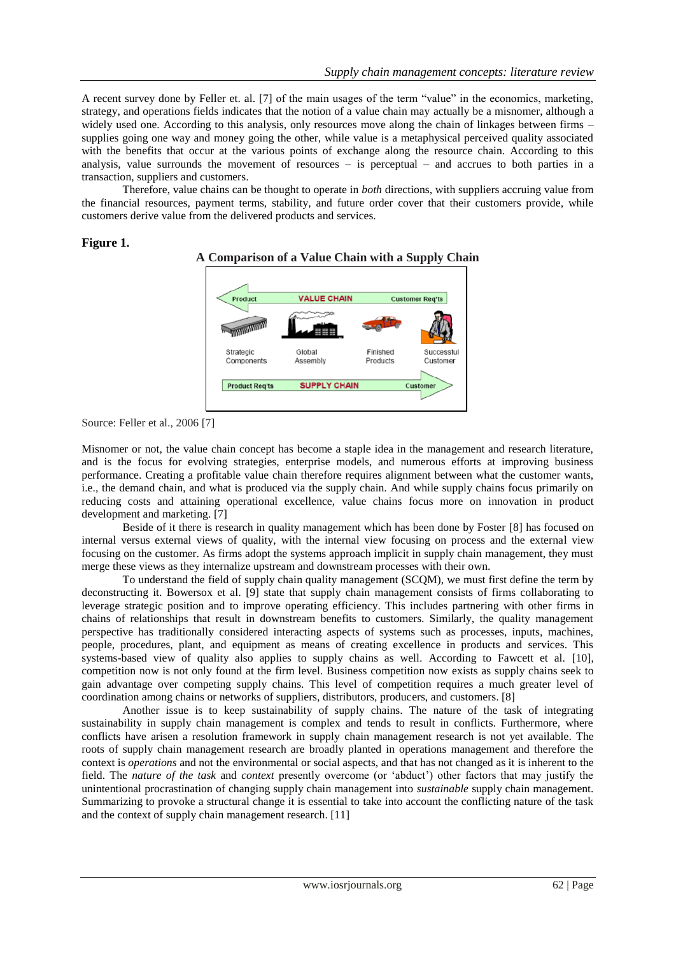A recent survey done by Feller et. al. [7] of the main usages of the term "value" in the economics, marketing, strategy, and operations fields indicates that the notion of a value chain may actually be a misnomer, although a widely used one. According to this analysis, only resources move along the chain of linkages between firms – supplies going one way and money going the other, while value is a metaphysical perceived quality associated with the benefits that occur at the various points of exchange along the resource chain. According to this analysis, value surrounds the movement of resources – is perceptual – and accrues to both parties in a transaction, suppliers and customers.

Therefore, value chains can be thought to operate in *both* directions, with suppliers accruing value from the financial resources, payment terms, stability, and future order cover that their customers provide, while customers derive value from the delivered products and services.

#### **Figure 1.**



#### **A Comparison of a Value Chain with a Supply Chain**

Source: Feller et al., 2006 [7]

Misnomer or not, the value chain concept has become a staple idea in the management and research literature, and is the focus for evolving strategies, enterprise models, and numerous efforts at improving business performance. Creating a profitable value chain therefore requires alignment between what the customer wants, i.e., the demand chain, and what is produced via the supply chain. And while supply chains focus primarily on reducing costs and attaining operational excellence, value chains focus more on innovation in product development and marketing. [7]

Beside of it there is research in quality management which has been done by Foster [8] has focused on internal versus external views of quality, with the internal view focusing on process and the external view focusing on the customer. As firms adopt the systems approach implicit in supply chain management, they must merge these views as they internalize upstream and downstream processes with their own.

To understand the field of supply chain quality management (SCQM), we must first define the term by deconstructing it. Bowersox et al. [9] state that supply chain management consists of firms collaborating to leverage strategic position and to improve operating efficiency. This includes partnering with other firms in chains of relationships that result in downstream benefits to customers. Similarly, the quality management perspective has traditionally considered interacting aspects of systems such as processes, inputs, machines, people, procedures, plant, and equipment as means of creating excellence in products and services. This systems-based view of quality also applies to supply chains as well. According to Fawcett et al. [10], competition now is not only found at the firm level. Business competition now exists as supply chains seek to gain advantage over competing supply chains. This level of competition requires a much greater level of coordination among chains or networks of suppliers, distributors, producers, and customers. [8]

Another issue is to keep sustainability of supply chains. The nature of the task of integrating sustainability in supply chain management is complex and tends to result in conflicts. Furthermore, where conflicts have arisen a resolution framework in supply chain management research is not yet available. The roots of supply chain management research are broadly planted in operations management and therefore the context is *operations* and not the environmental or social aspects, and that has not changed as it is inherent to the field. The *nature of the task* and *context* presently overcome (or "abduct") other factors that may justify the unintentional procrastination of changing supply chain management into *sustainable* supply chain management. Summarizing to provoke a structural change it is essential to take into account the conflicting nature of the task and the context of supply chain management research. [11]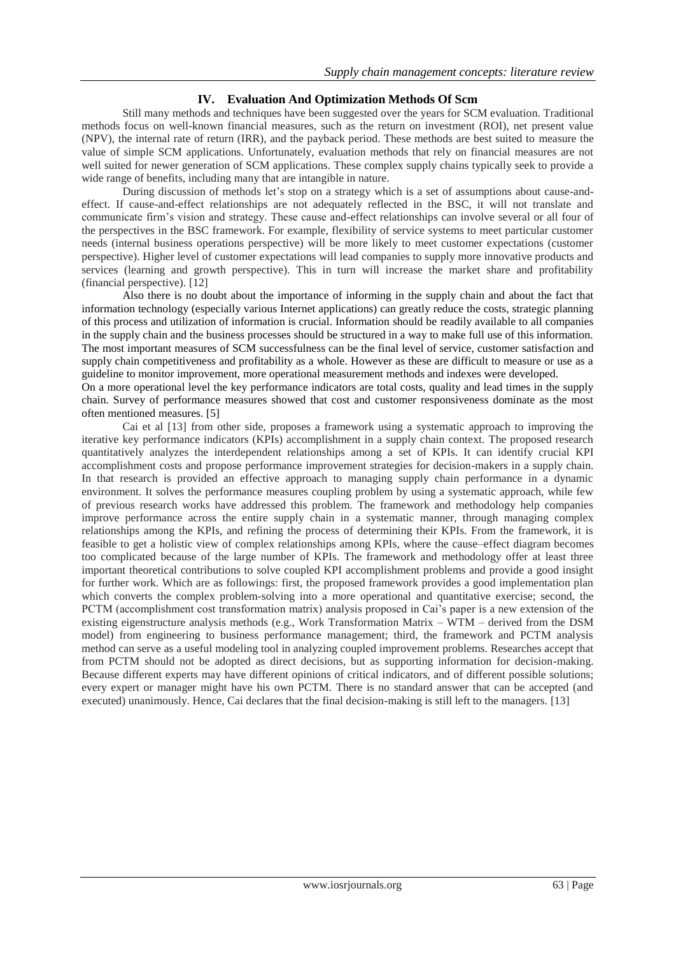### **IV. Evaluation And Optimization Methods Of Scm**

Still many methods and techniques have been suggested over the years for SCM evaluation. Traditional methods focus on well-known financial measures, such as the return on investment (ROI), net present value (NPV), the internal rate of return (IRR), and the payback period. These methods are best suited to measure the value of simple SCM applications. Unfortunately, evaluation methods that rely on financial measures are not well suited for newer generation of SCM applications. These complex supply chains typically seek to provide a wide range of benefits, including many that are intangible in nature.

During discussion of methods let"s stop on a strategy which is a set of assumptions about cause-andeffect. If cause-and-effect relationships are not adequately reflected in the BSC, it will not translate and communicate firm"s vision and strategy. These cause and-effect relationships can involve several or all four of the perspectives in the BSC framework. For example, flexibility of service systems to meet particular customer needs (internal business operations perspective) will be more likely to meet customer expectations (customer perspective). Higher level of customer expectations will lead companies to supply more innovative products and services (learning and growth perspective). This in turn will increase the market share and profitability (financial perspective). [12]

Also there is no doubt about the importance of informing in the supply chain and about the fact that information technology (especially various Internet applications) can greatly reduce the costs, strategic planning of this process and utilization of information is crucial. Information should be readily available to all companies in the supply chain and the business processes should be structured in a way to make full use of this information. The most important measures of SCM successfulness can be the final level of service, customer satisfaction and supply chain competitiveness and profitability as a whole. However as these are difficult to measure or use as a guideline to monitor improvement, more operational measurement methods and indexes were developed.

On a more operational level the key performance indicators are total costs, quality and lead times in the supply chain. Survey of performance measures showed that cost and customer responsiveness dominate as the most often mentioned measures. [5]

Cai et al [13] from other side, proposes a framework using a systematic approach to improving the iterative key performance indicators (KPIs) accomplishment in a supply chain context. The proposed research quantitatively analyzes the interdependent relationships among a set of KPIs. It can identify crucial KPI accomplishment costs and propose performance improvement strategies for decision-makers in a supply chain. In that research is provided an effective approach to managing supply chain performance in a dynamic environment. It solves the performance measures coupling problem by using a systematic approach, while few of previous research works have addressed this problem. The framework and methodology help companies improve performance across the entire supply chain in a systematic manner, through managing complex relationships among the KPIs, and refining the process of determining their KPIs. From the framework, it is feasible to get a holistic view of complex relationships among KPIs, where the cause–effect diagram becomes too complicated because of the large number of KPIs. The framework and methodology offer at least three important theoretical contributions to solve coupled KPI accomplishment problems and provide a good insight for further work. Which are as followings: first, the proposed framework provides a good implementation plan which converts the complex problem-solving into a more operational and quantitative exercise; second, the PCTM (accomplishment cost transformation matrix) analysis proposed in Cai"s paper is a new extension of the existing eigenstructure analysis methods (e.g., Work Transformation Matrix – WTM – derived from the DSM model) from engineering to business performance management; third, the framework and PCTM analysis method can serve as a useful modeling tool in analyzing coupled improvement problems. Researches accept that from PCTM should not be adopted as direct decisions, but as supporting information for decision-making. Because different experts may have different opinions of critical indicators, and of different possible solutions; every expert or manager might have his own PCTM. There is no standard answer that can be accepted (and executed) unanimously. Hence, Cai declares that the final decision-making is still left to the managers. [13]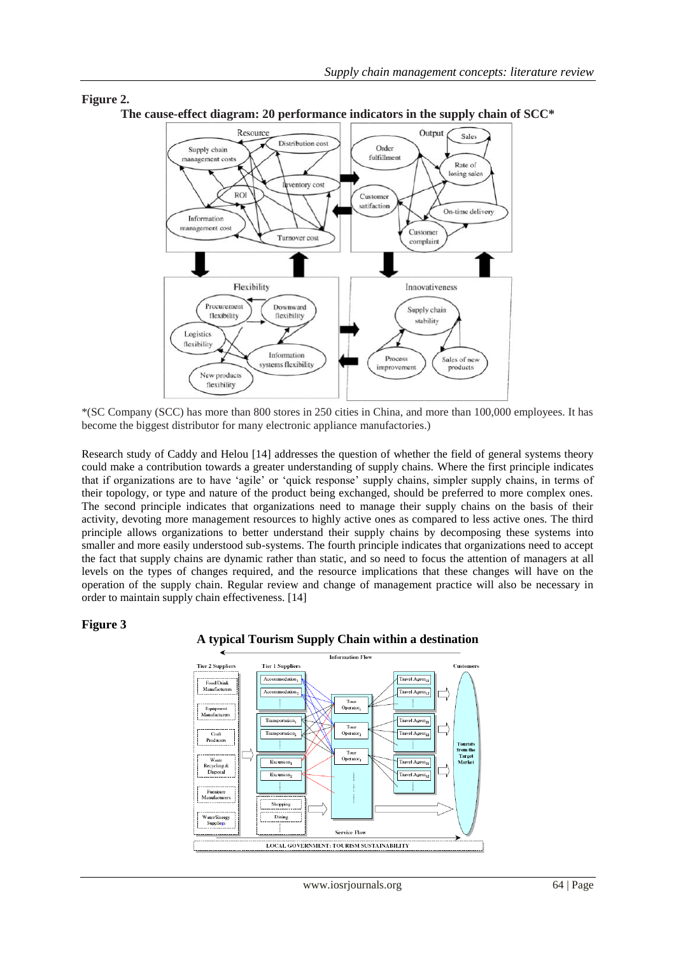

**Figure 2. The cause-effect diagram: 20 performance indicators in the supply chain of SCC\***

\*(SC Company (SCC) has more than 800 stores in 250 cities in China, and more than 100,000 employees. It has become the biggest distributor for many electronic appliance manufactories.)

Research study of Caddy and Helou [14] addresses the question of whether the field of general systems theory could make a contribution towards a greater understanding of supply chains. Where the first principle indicates that if organizations are to have "agile" or "quick response" supply chains, simpler supply chains, in terms of their topology, or type and nature of the product being exchanged, should be preferred to more complex ones. The second principle indicates that organizations need to manage their supply chains on the basis of their activity, devoting more management resources to highly active ones as compared to less active ones. The third principle allows organizations to better understand their supply chains by decomposing these systems into smaller and more easily understood sub-systems. The fourth principle indicates that organizations need to accept the fact that supply chains are dynamic rather than static, and so need to focus the attention of managers at all levels on the types of changes required, and the resource implications that these changes will have on the operation of the supply chain. Regular review and change of management practice will also be necessary in order to maintain supply chain effectiveness. [14]

#### **Figure 3**



#### **A typical Tourism Supply Chain within a destination**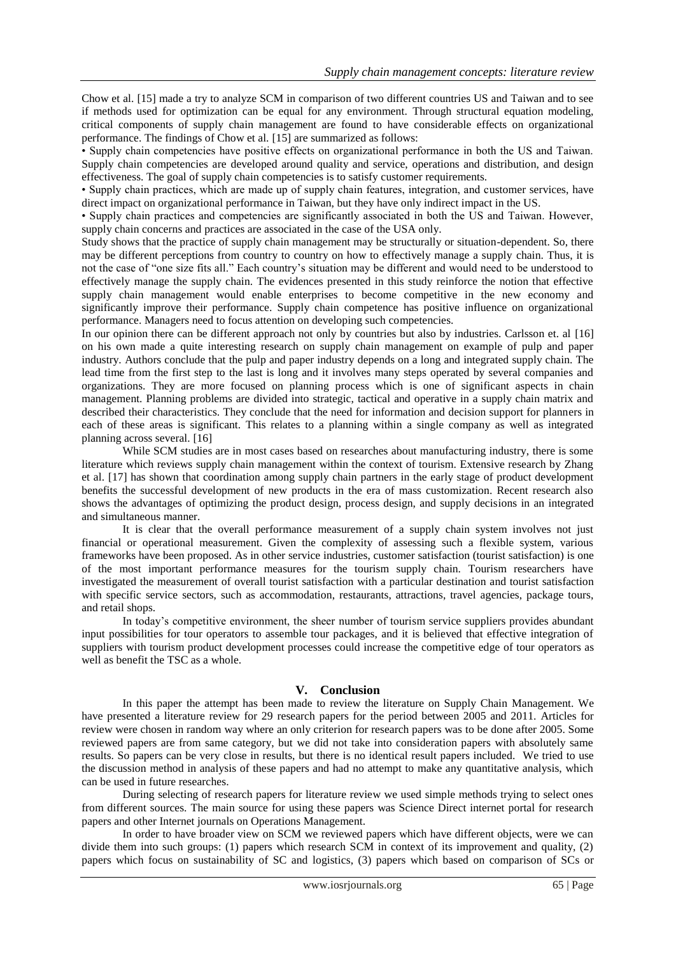Chow et al. [15] made a try to analyze SCM in comparison of two different countries US and Taiwan and to see if methods used for optimization can be equal for any environment. Through structural equation modeling, critical components of supply chain management are found to have considerable effects on organizational performance. The findings of Chow et al. [15] are summarized as follows:

• Supply chain competencies have positive effects on organizational performance in both the US and Taiwan. Supply chain competencies are developed around quality and service, operations and distribution, and design effectiveness. The goal of supply chain competencies is to satisfy customer requirements.

• Supply chain practices, which are made up of supply chain features, integration, and customer services, have direct impact on organizational performance in Taiwan, but they have only indirect impact in the US.

• Supply chain practices and competencies are significantly associated in both the US and Taiwan. However, supply chain concerns and practices are associated in the case of the USA only.

Study shows that the practice of supply chain management may be structurally or situation-dependent. So, there may be different perceptions from country to country on how to effectively manage a supply chain. Thus, it is not the case of "one size fits all." Each country"s situation may be different and would need to be understood to effectively manage the supply chain. The evidences presented in this study reinforce the notion that effective supply chain management would enable enterprises to become competitive in the new economy and significantly improve their performance. Supply chain competence has positive influence on organizational performance. Managers need to focus attention on developing such competencies.

In our opinion there can be different approach not only by countries but also by industries. Carlsson et. al [16] on his own made a quite interesting research on supply chain management on example of pulp and paper industry. Authors conclude that the pulp and paper industry depends on a long and integrated supply chain. The lead time from the first step to the last is long and it involves many steps operated by several companies and organizations. They are more focused on planning process which is one of significant aspects in chain management. Planning problems are divided into strategic, tactical and operative in a supply chain matrix and described their characteristics. They conclude that the need for information and decision support for planners in each of these areas is significant. This relates to a planning within a single company as well as integrated planning across several. [16]

While SCM studies are in most cases based on researches about manufacturing industry, there is some literature which reviews supply chain management within the context of tourism. Extensive research by Zhang et al. [17] has shown that coordination among supply chain partners in the early stage of product development benefits the successful development of new products in the era of mass customization. Recent research also shows the advantages of optimizing the product design, process design, and supply decisions in an integrated and simultaneous manner.

It is clear that the overall performance measurement of a supply chain system involves not just financial or operational measurement. Given the complexity of assessing such a flexible system, various frameworks have been proposed. As in other service industries, customer satisfaction (tourist satisfaction) is one of the most important performance measures for the tourism supply chain. Tourism researchers have investigated the measurement of overall tourist satisfaction with a particular destination and tourist satisfaction with specific service sectors, such as accommodation, restaurants, attractions, travel agencies, package tours, and retail shops.

In today's competitive environment, the sheer number of tourism service suppliers provides abundant input possibilities for tour operators to assemble tour packages, and it is believed that effective integration of suppliers with tourism product development processes could increase the competitive edge of tour operators as well as benefit the TSC as a whole.

#### **V. Conclusion**

In this paper the attempt has been made to review the literature on Supply Chain Management. We have presented a literature review for 29 research papers for the period between 2005 and 2011. Articles for review were chosen in random way where an only criterion for research papers was to be done after 2005. Some reviewed papers are from same category, but we did not take into consideration papers with absolutely same results. So papers can be very close in results, but there is no identical result papers included. We tried to use the discussion method in analysis of these papers and had no attempt to make any quantitative analysis, which can be used in future researches.

During selecting of research papers for literature review we used simple methods trying to select ones from different sources. The main source for using these papers was Science Direct internet portal for research papers and other Internet journals on Operations Management.

In order to have broader view on SCM we reviewed papers which have different objects, were we can divide them into such groups: (1) papers which research SCM in context of its improvement and quality, (2) papers which focus on sustainability of SC and logistics, (3) papers which based on comparison of SCs or